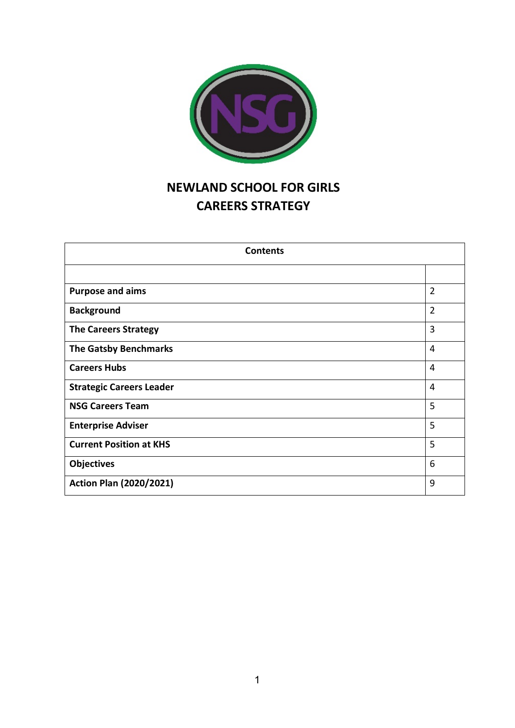

# **NEWLAND SCHOOL FOR GIRLS CAREERS STRATEGY**

| <b>Contents</b>                 |                |
|---------------------------------|----------------|
|                                 |                |
| <b>Purpose and aims</b>         | $\overline{2}$ |
| <b>Background</b>               | $\overline{2}$ |
| <b>The Careers Strategy</b>     | 3              |
| <b>The Gatsby Benchmarks</b>    | $\overline{4}$ |
| <b>Careers Hubs</b>             | 4              |
| <b>Strategic Careers Leader</b> | 4              |
| <b>NSG Careers Team</b>         | 5              |
| <b>Enterprise Adviser</b>       | 5              |
| <b>Current Position at KHS</b>  | 5              |
| <b>Objectives</b>               | 6              |
| <b>Action Plan (2020/2021)</b>  | 9              |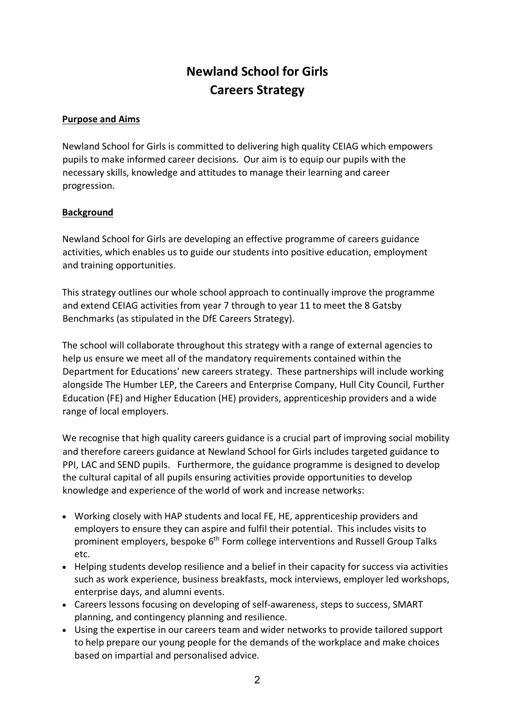# **Newland School for Girls Careers Strategy**

#### **Purpose and Aims**

Newland School for Girls is committed to delivering high quality CEIAG which empowers pupils to make informed career decisions. Our aim is to equip our pupils with the necessary skills, knowledge and attitudes to manage their learning and career progression.

## **Background**

Newland School for Girls are developing an effective programme of careers guidance activities, which enables us to guide our students into positive education, employment and training opportunities.

This strategy outlines our whole school approach to continually improve the programme and extend CEIAG activities from year 7 through to year 11 to meet the 8 Gatsby Benchmarks (as stipulated in the DfE Careers Strategy).

The school will collaborate throughout this strategy with a range of external agencies to help us ensure we meet all of the mandatory requirements contained within the Department for Educations' new careers strategy. These partnerships will include working alongside The Humber LEP, the Careers and Enterprise Company, Hull City Council, Further Education (FE) and Higher Education (HE) providers, apprenticeship providers and a wide range of local employers.

We recognise that high quality careers guidance is a crucial part of improving social mobility and therefore careers guidance at Newland School for Girls includes targeted guidance to PPI, LAC and SEND pupils. Furthermore, the guidance programme is designed to develop the cultural capital of all pupils ensuring activities provide opportunities to develop knowledge and experience of the world of work and increase networks:

- Working closely with HAP students and local FE, HE, apprenticeship providers and employers to ensure they can aspire and fulfil their potential. This includes visits to prominent employers, bespoke  $6<sup>th</sup>$  Form college interventions and Russell Group Talks etc.
- Helping students develop resilience and a belief in their capacity for success via activities such as work experience, business breakfasts, mock interviews, employer led workshops, enterprise days, and alumni events.
- Careers lessons focusing on developing of self-awareness, steps to success, SMART planning, and contingency planning and resilience.
- Using the expertise in our careers team and wider networks to provide tailored support to help prepare our young people for the demands of the workplace and make choices based on impartial and personalised advice.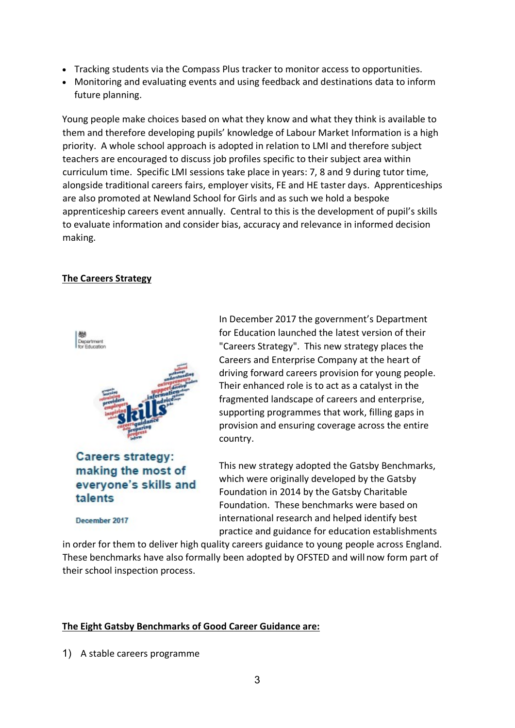- Tracking students via the Compass Plus tracker to monitor access to opportunities.
- Monitoring and evaluating events and using feedback and destinations data to inform future planning.

Young people make choices based on what they know and what they think is available to them and therefore developing pupils' knowledge of Labour Market Information is a high priority. A whole school approach is adopted in relation to LMI and therefore subject teachers are encouraged to discuss job profiles specific to their subject area within curriculum time. Specific LMI sessions take place in years: 7, 8 and 9 during tutor time, alongside traditional careers fairs, employer visits, FE and HE taster days. Apprenticeships are also promoted at Newland School for Girls and as such we hold a bespoke apprenticeship careers event annually. Central to this is the development of pupil's skills to evaluate information and consider bias, accuracy and relevance in informed decision making.

## **The Careers Strategy**



Careers strategy: making the most of everyone's skills and talents

December 2017

In December 2017 the government's Department for Education launched the latest version of their "Careers Strategy". This new strategy places the Careers and Enterprise Company at the heart of driving forward careers provision for young people. Their enhanced role is to act as a catalyst in the fragmented landscape of careers and enterprise, supporting programmes that work, filling gaps in provision and ensuring coverage across the entire country.

This new strategy adopted the Gatsby Benchmarks, which were originally developed by the Gatsby Foundation in 2014 by the Gatsby Charitable Foundation. These benchmarks were based on international research and helped identify best practice and guidance for education establishments

in order for them to deliver high quality careers guidance to young people across England. These benchmarks have also formally been adopted by OFSTED and will now form part of their school inspection process.

## **The Eight Gatsby Benchmarks of Good Career Guidance are:**

1) A stable careers programme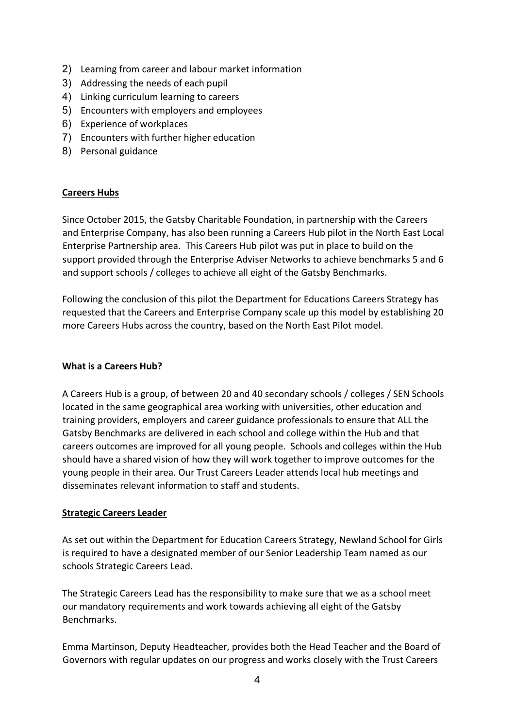- 2) Learning from career and labour market information
- 3) Addressing the needs of each pupil
- 4) Linking curriculum learning to careers
- 5) Encounters with employers and employees
- 6) Experience of workplaces
- 7) Encounters with further higher education
- 8) Personal guidance

## **Careers Hubs**

Since October 2015, the Gatsby Charitable Foundation, in partnership with the Careers and Enterprise Company, has also been running a Careers Hub pilot in the North East Local Enterprise Partnership area. This Careers Hub pilot was put in place to build on the support provided through the Enterprise Adviser Networks to achieve benchmarks 5 and 6 and support schools / colleges to achieve all eight of the Gatsby Benchmarks.

Following the conclusion of this pilot the Department for Educations Careers Strategy has requested that the Careers and Enterprise Company scale up this model by establishing 20 more Careers Hubs across the country, based on the North East Pilot model.

## **What is a Careers Hub?**

A Careers Hub is a group, of between 20 and 40 secondary schools / colleges / SEN Schools located in the same geographical area working with universities, other education and training providers, employers and career guidance professionals to ensure that ALL the Gatsby Benchmarks are delivered in each school and college within the Hub and that careers outcomes are improved for all young people. Schools and colleges within the Hub should have a shared vision of how they will work together to improve outcomes for the young people in their area. Our Trust Careers Leader attends local hub meetings and disseminates relevant information to staff and students.

## **Strategic Careers Leader**

As set out within the Department for Education Careers Strategy, Newland School for Girls is required to have a designated member of our Senior Leadership Team named as our schools Strategic Careers Lead.

The Strategic Careers Lead has the responsibility to make sure that we as a school meet our mandatory requirements and work towards achieving all eight of the Gatsby Benchmarks.

Emma Martinson, Deputy Headteacher, provides both the Head Teacher and the Board of Governors with regular updates on our progress and works closely with the Trust Careers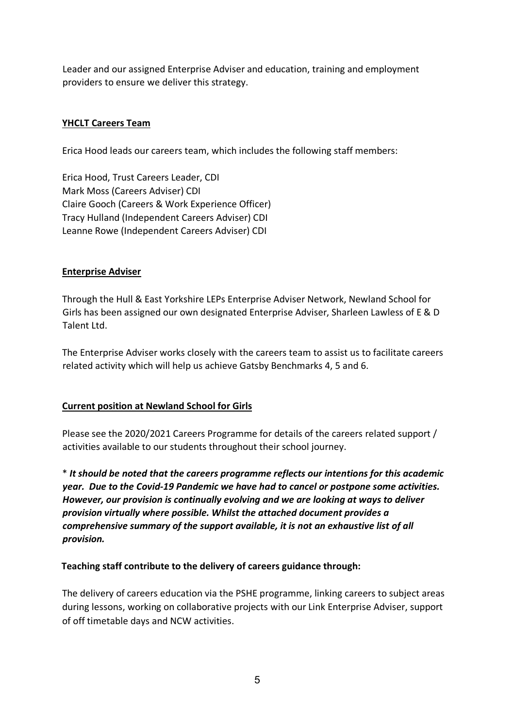Leader and our assigned Enterprise Adviser and education, training and employment providers to ensure we deliver this strategy.

#### **YHCLT Careers Team**

Erica Hood leads our careers team, which includes the following staff members:

Erica Hood, Trust Careers Leader, CDI Mark Moss (Careers Adviser) CDI Claire Gooch (Careers & Work Experience Officer) Tracy Hulland (Independent Careers Adviser) CDI Leanne Rowe (Independent Careers Adviser) CDI

#### **Enterprise Adviser**

Through the Hull & East Yorkshire LEPs Enterprise Adviser Network, Newland School for Girls has been assigned our own designated Enterprise Adviser, Sharleen Lawless of E & D Talent Ltd.

The Enterprise Adviser works closely with the careers team to assist us to facilitate careers related activity which will help us achieve Gatsby Benchmarks 4, 5 and 6.

#### **Current position at Newland School for Girls**

Please see the 2020/2021 Careers Programme for details of the careers related support / activities available to our students throughout their school journey.

\* *It should be noted that the careers programme reflects our intentions for this academic year. Due to the Covid-19 Pandemic we have had to cancel or postpone some activities. However, our provision is continually evolving and we are looking at ways to deliver provision virtually where possible. Whilst the attached document provides a comprehensive summary of the support available, it is not an exhaustive list of all provision.*

#### **Teaching staff contribute to the delivery of careers guidance through:**

The delivery of careers education via the PSHE programme, linking careers to subject areas during lessons, working on collaborative projects with our Link Enterprise Adviser, support of off timetable days and NCW activities.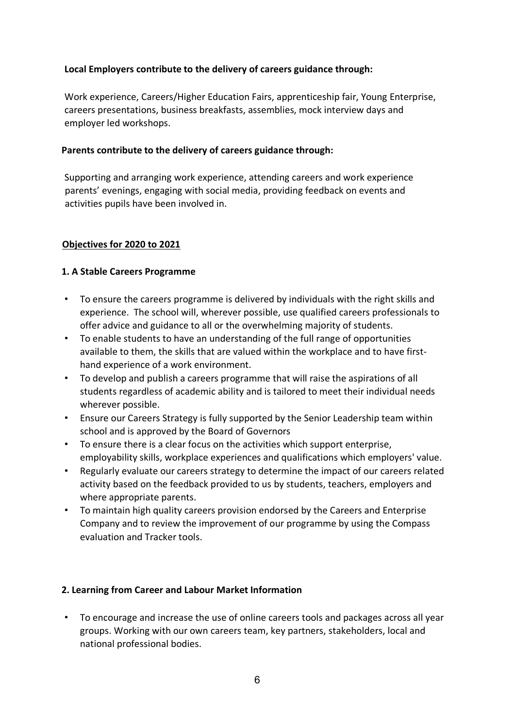## **Local Employers contribute to the delivery of careers guidance through:**

Work experience, Careers/Higher Education Fairs, apprenticeship fair, Young Enterprise, careers presentations, business breakfasts, assemblies, mock interview days and employer led workshops.

## **Parents contribute to the delivery of careers guidance through:**

Supporting and arranging work experience, attending careers and work experience parents' evenings, engaging with social media, providing feedback on events and activities pupils have been involved in.

## **Objectives for 2020 to 2021**

## **1. A Stable Careers Programme**

- To ensure the careers programme is delivered by individuals with the right skills and experience. The school will, wherever possible, use qualified careers professionals to offer advice and guidance to all or the overwhelming majority of students.
- To enable students to have an understanding of the full range of opportunities available to them, the skills that are valued within the workplace and to have firsthand experience of a work environment.
- To develop and publish a careers programme that will raise the aspirations of all students regardless of academic ability and is tailored to meet their individual needs wherever possible.
- Ensure our Careers Strategy is fully supported by the Senior Leadership team within school and is approved by the Board of Governors
- To ensure there is a clear focus on the activities which support enterprise, employability skills, workplace experiences and qualifications which employers' value.
- Regularly evaluate our careers strategy to determine the impact of our careers related activity based on the feedback provided to us by students, teachers, employers and where appropriate parents.
- To maintain high quality careers provision endorsed by the Careers and Enterprise Company and to review the improvement of our programme by using the Compass evaluation and Tracker tools.

# **2. Learning from Career and Labour Market Information**

• To encourage and increase the use of online careers tools and packages across all year groups. Working with our own careers team, key partners, stakeholders, local and national professional bodies.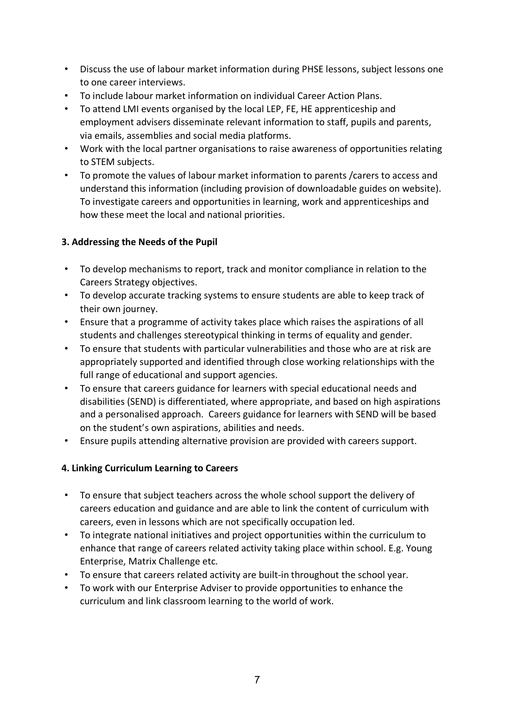- Discuss the use of labour market information during PHSE lessons, subject lessons one to one career interviews.
- To include labour market information on individual Career Action Plans.
- To attend LMI events organised by the local LEP, FE, HE apprenticeship and employment advisers disseminate relevant information to staff, pupils and parents, via emails, assemblies and social media platforms.
- Work with the local partner organisations to raise awareness of opportunities relating to STEM subjects.
- To promote the values of labour market information to parents /carers to access and understand this information (including provision of downloadable guides on website). To investigate careers and opportunities in learning, work and apprenticeships and how these meet the local and national priorities.

## **3. Addressing the Needs of the Pupil**

- To develop mechanisms to report, track and monitor compliance in relation to the Careers Strategy objectives.
- To develop accurate tracking systems to ensure students are able to keep track of their own journey.
- Ensure that a programme of activity takes place which raises the aspirations of all students and challenges stereotypical thinking in terms of equality and gender.
- To ensure that students with particular vulnerabilities and those who are at risk are appropriately supported and identified through close working relationships with the full range of educational and support agencies.
- To ensure that careers guidance for learners with special educational needs and disabilities (SEND) is differentiated, where appropriate, and based on high aspirations and a personalised approach. Careers guidance for learners with SEND will be based on the student's own aspirations, abilities and needs.
- Ensure pupils attending alternative provision are provided with careers support.

## **4. Linking Curriculum Learning to Careers**

- To ensure that subject teachers across the whole school support the delivery of careers education and guidance and are able to link the content of curriculum with careers, even in lessons which are not specifically occupation led.
- To integrate national initiatives and project opportunities within the curriculum to enhance that range of careers related activity taking place within school. E.g. Young Enterprise, Matrix Challenge etc.
- To ensure that careers related activity are built-in throughout the school year.
- To work with our Enterprise Adviser to provide opportunities to enhance the curriculum and link classroom learning to the world of work.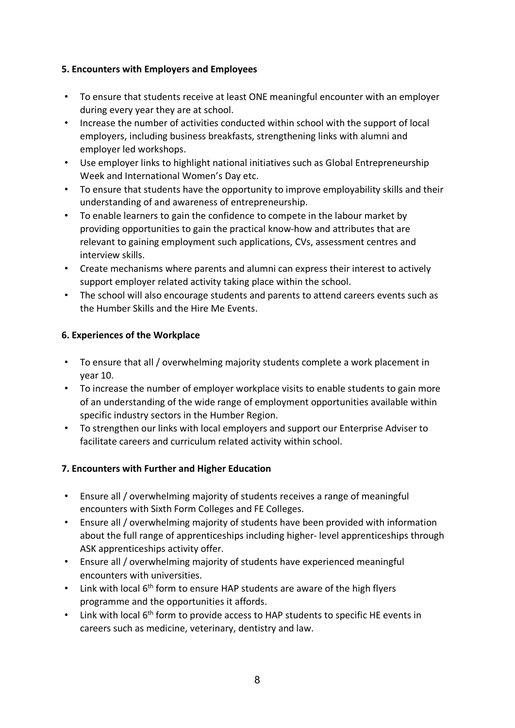## **5. Encounters with Employers and Employees**

- To ensure that students receive at least ONE meaningful encounter with an employer during every year they are at school.
- Increase the number of activities conducted within school with the support of local employers, including business breakfasts, strengthening links with alumni and employer led workshops.
- Use employer links to highlight national initiatives such as Global Entrepreneurship Week and International Women's Day etc.
- To ensure that students have the opportunity to improve employability skills and their understanding of and awareness of entrepreneurship.
- To enable learners to gain the confidence to compete in the labour market by providing opportunities to gain the practical know-how and attributes that are relevant to gaining employment such applications, CVs, assessment centres and interview skills.
- Create mechanisms where parents and alumni can express their interest to actively support employer related activity taking place within the school.
- The school will also encourage students and parents to attend careers events such as the Humber Skills and the Hire Me Events.

## **6. Experiences of the Workplace**

- To ensure that all / overwhelming majority students complete a work placement in year 10.
- To increase the number of employer workplace visits to enable students to gain more of an understanding of the wide range of employment opportunities available within specific industry sectors in the Humber Region.
- To strengthen our links with local employers and support our Enterprise Adviser to facilitate careers and curriculum related activity within school.

# **7. Encounters with Further and Higher Education**

- Ensure all / overwhelming majority of students receives a range of meaningful encounters with Sixth Form Colleges and FE Colleges.
- Ensure all / overwhelming majority of students have been provided with information about the full range of apprenticeships including higher- level apprenticeships through ASK apprenticeships activity offer.
- Ensure all / overwhelming majority of students have experienced meaningful encounters with universities.
- Link with local 6<sup>th</sup> form to ensure HAP students are aware of the high flyers programme and the opportunities it affords.
- Link with local 6<sup>th</sup> form to provide access to HAP students to specific HE events in careers such as medicine, veterinary, dentistry and law.